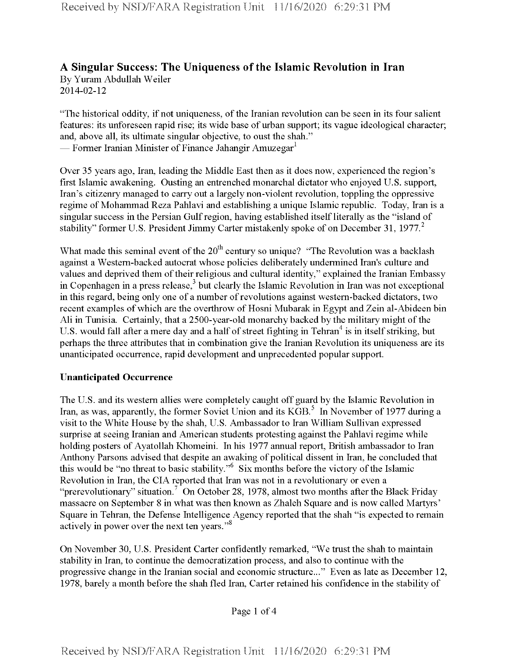# **A Singular Success: The Uniqueness ofthe Islamic Revolution in Iran** By Yuram Abdullah Weiler

2014-02-12

"The historical oddity, if not uniqueness, of the Iranian revolution can be seen in its four salient features: its unforeseen rapid rise; its wide base of urban support; its vague ideological character; and, above all, its ultimate singular objective, to oust the shah." — Former Iranian Minister of Finance Jahangir Amuzegar<sup>1</sup>

Over 35 years ago, Iran, leading the Middle East then as it does now, experienced the region's first Islamic awakening. Ousting an entrenched monarchal dictator who enjoyed U.S. support, Iran's citizenry managed to carry out a largely non-violent revolution, toppling the oppressive regime of Mohammad Reza Pahlavi and establishing a unique Islamic republic. Today, Iran is a singular success in the Persian Gulf region, having established itself literally as the "island of stability" former U.S. President Jimmy Carter mistakenly spoke of on December 31,  $1977<sup>2</sup>$ 

What made this seminal event of the  $20<sup>th</sup>$  century so unique? "The Revolution was a backlash against a Western-backed autocrat whose policies deliberately undermined Iran's culture and values and deprived them of their religious and cultural identity," explained the Iranian Embassy in Copenhagen in a press release,<sup>3</sup> but clearly the Islamic Revolution in Iran was not exceptional in this regard, being only one of a number of revolutions against western-backed dictators, two recent examples of which are the overthrow of Hosni Mubarak in Egypt and Zein al-Abideen bin Ali in Tunisia. Certainly, that a 2500-year-old monarchy backed by the military might of the U.S. would fall after a mere day and a half of street fighting in Tehran<sup>4</sup> is in itself striking, but perhaps the three attributes that in combination give the Iranian Revolution its uniqueness are its unanticipated occurrence, rapid development and unprecedented popular support.

## **Unanticipated Occurrence**

The U.S. and its western allies were completely caught off guard by the Islamic Revolution in Iran, as was, apparently, the former Soviet Union and its KGB.<sup>5</sup> In November of 1977 during a visit to the White House by the shah, U.S. Ambassador to Iran William Sullivan expressed surprise at seeing Iranian and American students protesting against the Pahlavi regime while holding posters of Ayatollah Khomeini. In his 1977 annual report, British ambassador to Iran Anthony Parsons advised that despite an awaking of political dissent in Iran, he concluded that this would be "no threat to basic stability."<sup>6</sup> Six months before the victory of the Islamic Revolution in Iran, the CIA reported that Iran was not in a revolutionary or even a "prerevolutionary" situation.<sup>7</sup> On October 28, 1978, almost two months after the Black Friday massacre on September 8 in what was then known as Zhaleh Square and is now called Martyrs' Square in Tehran, the Defense Intelligence Agency reported that the shah "is expected to remain actively in power over the next ten years."<sup>8</sup>

On November 30, U.S. President Carter confidently remarked, "We trust the shah to maintain stability in Iran, to continue the democratization process, and also to continue with the progressive change in the Iranian social and economic structure..." Even as late as December 12, 1978, barely a month before the shah fled Iran, Carter retained his confidence in the stability of

Page <sup>1</sup> of 4

Received by NSD/FARA Registration Unit 11/16/2020 6:29:31 PM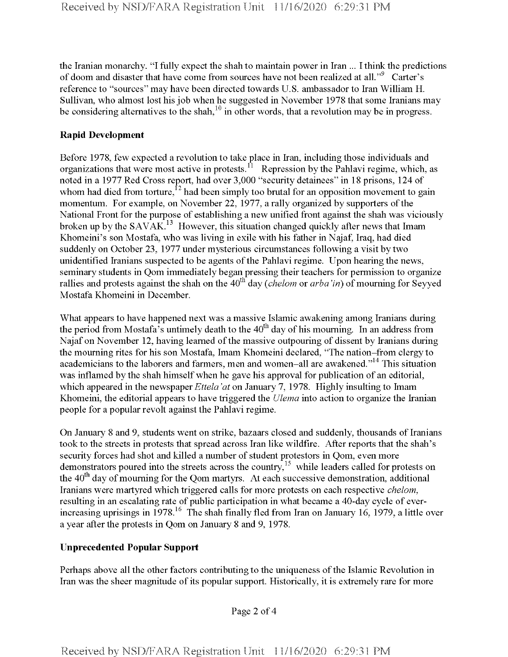the Iranian monarchy. "I fully expect the shah to maintain power in Iran ... I think the predictions of doom and disaster that have come from sources have not been realized at all."<sup>9</sup> Carter's reference to "sources" may have been directed towards U.S. ambassador to Iran William H. Sullivan, who almost lost hisjob when he suggested in November 1978 that some Iranians may be considering alternatives to the shah,  $10$  in other words, that a revolution may be in progress.

#### **Rapid Development**

Before 1978, few expected a revolution to take place in Iran, including those individuals and organizations that were most active in protests.<sup>11</sup> Repression by the Pahlavi regime, which, as noted in a 1977 Red Cross report, had over 3,000 "security detainees" in 18 prisons, 124 of whom had died from torture,  $h^2$  had been simply too brutal for an opposition movement to gain momentum. For example, on November 22, 1977, a rally organized by supporters of the National Front for the purpose of establishing a new unified front against the shah was viciously broken up by the SAVAK.<sup>13</sup> However, this situation changed quickly after news that Imam Khomeini's son Mostafa, who was living in exile with his father in Najaf, Iraq, had died suddenly on October 23, 1977 under mysterious circumstances following a visit by two unidentified Iranians suspected to be agents of the Pahlavi regime. Upon hearing the news, seminary students in Qom immediately began pressing their teachers for permission to organize rallies and protests against the shah on the 40<sup>th</sup> day *(chelom* or *arba'in)* of mourning for Seyyed Mostafa Khomeini in December.

What appears to have happened next was a massive Islamic awakening among Iranians during the period from Mostafa's untimely death to the  $40<sup>th</sup>$  day of his mourning. In an address from Najaf on November 12, having learned of the massive outpouring of dissent by Iranians during the mourning rites for his son Mostafa, Imam Khomeini declared, "The nation-from clergy to academicians to the laborers and farmers, men and women-all are awakened."14 This situation was inflamed by the shah himself when he gave his approval for publication of an editorial, which appeared in the newspaper*Ettela 'at* on January 7, 1978. Highly insulting to Imam Khomeini, the editorial appears to have triggered the *Ulema* into action to organize the Iranian people for a popular revolt against the Pahlavi regime.

On January 8 and 9, students went on strike, bazaars closed and suddenly, thousands of Iranians took to the streets in protests that spread across Iran like wildfire. After reports that the shah's security forces had shot and killed a number of student protestors in Qom, even more demonstrators poured into the streets across the country,<sup>15</sup> while leaders called for protests on the 40<sup>th</sup> day of mourning for the Qom martyrs. At each successive demonstration, additional Iranians were martyred which triggered calls for more protests on each respective *chelom*, resulting in an escalating rate of public participation in what became a 40-day cycle of everincreasing uprisings in 1978.<sup>16</sup> The shah finally fled from Iran on January 16, 1979, a little over a year after the protests in Qom on January 8 and 9, 1978.

## **Unprecedented Popular Support**

Perhaps above all the other factors contributing to the uniqueness ofthe Islamic Revolution in Iran was the sheer magnitude of its popular support. Historically, it is extremely rare for more

Page 2 of 4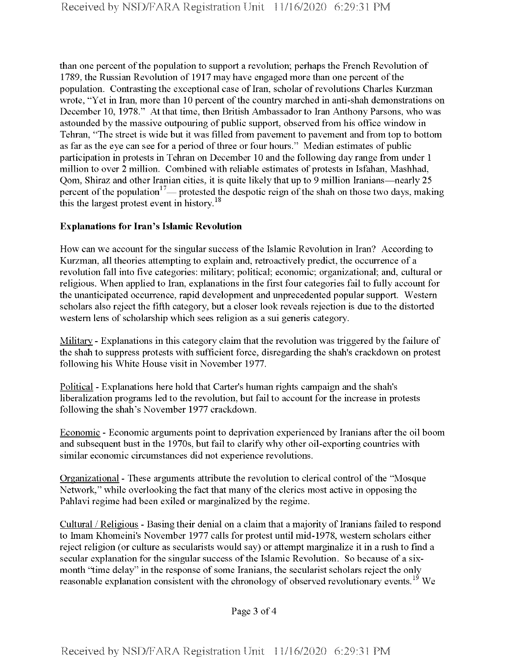than one percent of the population to support a revolution; perhaps the French Revolution of 1789, the Russian Revolution of 1917 may have engaged more than one percent of the population. Contrasting the exceptional case of Iran, scholar of revolutions Charles Kurzman wrote, "Yet in Iran, more than 10 percent of the country marched in anti-shah demonstrations on December 10, 1978." At that time, then British Ambassador to Iran Anthony Parsons, who was astounded by the massive outpouring of public support, observed from his office window in Tehran, "The street is wide but it was filled from pavement to pavement and from top to bottom as far as the eye can see for a period of three or four hours." Median estimates of public participation in protests in Tehran on December 10 and the following day range from under <sup>1</sup> million to over 2 million. Combined with reliable estimates of protests in Isfahan, Mashhad, Qom, Shiraz and other Iranian cities, it is quite likely that up to 9 million Iranians—nearly 25 percent of the population<sup>17</sup>— protested the despotic reign of the shah on those two days, making this the largest protest event in history.<sup>18</sup>

## **Explanations for Iran's Islamic Revolution**

How can we account for the singular success ofthe Islamic Revolution in Iran? According to Kurzman, all theories attempting to explain and, retroactively predict, the occurrence of a revolution fall into five categories: military; political; economic; organizational; and, cultural or religious. When applied to Iran, explanations in the first four categories fail to fully account for the unanticipated occurrence, rapid development and unprecedented popular support. Western scholars also reject the fifth category, but a closer look reveals rejection is due to the distorted western lens of scholarship which sees religion as a sui generis category.

Military - Explanations in this category claim that the revolution was triggered by the failure of the shah to suppress protests with sufficient force, disregarding the shah's crackdown on protest following his White House visit in November 1977.

Political - Explanations here hold that Carter's human rights campaign and the shah's liberalization programs led to the revolution, but fail to account for the increase in protests following the shah's November 1977 crackdown.

Economic - Economic arguments point to deprivation experienced by Iranians after the oil boom and subsequent bust in the 1970s, but fail to clarify why other oil-exporting countries with similar economic circumstances did not experience revolutions.

Organizational - These arguments attribute the revolution to clerical control of the "Mosque Network," while overlooking the fact that many of the clerics most active in opposing the Pahlavi regime had been exiled or marginalized by the regime.

Cultural / Religious - Basing their denial on a claim that a majority of Iranians failed to respond to Imam Khomeini's November 1977 calls for protest until mid-1978, western scholars either reject religion (or culture as secularists would say) or attempt marginalize it in a rush to find a secular explanation for the singular success of the Islamic Revolution. So because of a sixmonth "time delay" in the response of some Iranians, the secularist scholars reject the only reasonable explanation consistent with the chronology of observed revolutionary events.<sup>19</sup> We

Page 3 of 4